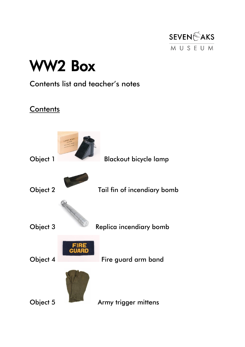

# WW2 Box

#### Contents list and teacher's notes

#### **Contents**

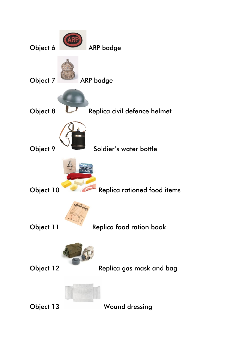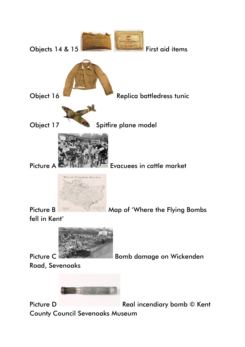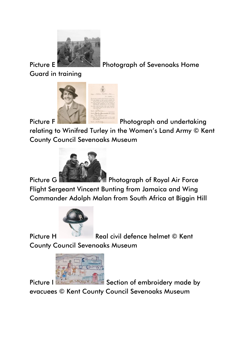

Picture E **Photograph of Sevenoaks Home** 

Guard in training



Picture F **Photograph and undertaking** 

relating to Winifred Turley in the Women's Land Army © Kent County Council Sevenoaks Museum



Picture G **Photograph of Royal Air Force** Flight Sergeant Vincent Bunting from Jamaica and Wing Commander Adolph Malan from South Africa at Biggin Hill



Picture H Real civil defence helmet © Kent

County Council Sevenoaks Museum



Picture I Section of embroidery made by

evacuees © Kent County Council Sevenoaks Museum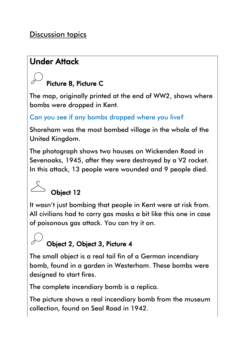#### Discussion topics

#### Under Attack

#### Picture B, Picture C

The map, originally printed at the end of WW2, shows where bombs were dropped in Kent.

#### Can you see if any bombs dropped where you live?

Shoreham was the most bombed village in the whole of the United Kingdom.

The photograph shows two houses on Wickenden Road in Sevenoaks, 1945, after they were destroyed by a V2 rocket. In this attack, 13 people were wounded and 9 people died.

# Object 12

It wasn't just bombing that people in Kent were at risk from. All civilians had to carry gas masks a bit like this one in case of poisonous gas attack. You can try it on.

#### Object 2, Object 3, Picture 4

The small object is a real tail fin of a German incendiary bomb, found in a garden in Westerham. These bombs were designed to start fires.

The complete incendiary bomb is a replica.

The picture shows a real incendiary bomb from the museum collection, found on Seal Road in 1942.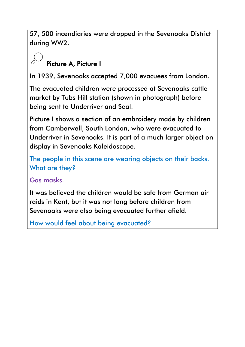57, 500 incendiaries were dropped in the Sevenoaks District during WW2.

### Picture A, Picture I

In 1939, Sevenoaks accepted 7,000 evacuees from London.

The evacuated children were processed at Sevenoaks cattle market by Tubs Hill station (shown in photograph) before being sent to Underriver and Seal.

Picture I shows a section of an embroidery made by children from Camberwell, South London, who were evacuated to Underriver in Sevenoaks. It is part of a much larger object on display in Sevenoaks Kaleidoscope.

The people in this scene are wearing objects on their backs. What are they?

Gas masks.

It was believed the children would be safe from German air raids in Kent, but it was not long before children from Sevenoaks were also being evacuated further afield.

How would feel about being evacuated?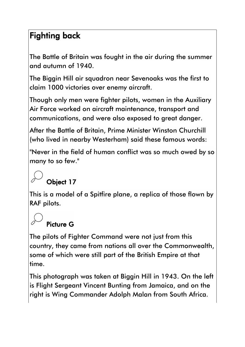#### Fighting back

The Battle of Britain was fought in the air during the summer and autumn of 1940.

The Biggin Hill air squadron near Sevenoaks was the first to claim 1000 victories over enemy aircraft.

Though only men were fighter pilots, women in the Auxiliary Air Force worked on aircraft maintenance, transport and communications, and were also exposed to great danger.

After the Battle of Britain, Prime Minister Winston Churchill (who lived in nearby Westerham) said these famous words:

"Never in the field of human conflict was so much owed by so many to so few."

### Object 17

This is a model of a Spitfire plane, a replica of those flown by RAF pilots.

#### Picture G

The pilots of Fighter Command were not just from this country, they came from nations all over the Commonwealth, some of which were still part of the British Empire at that time.

This photograph was taken at Biggin Hill in 1943. On the left is Flight Sergeant Vincent Bunting from Jamaica, and on the right is Wing Commander Adolph Malan from South Africa.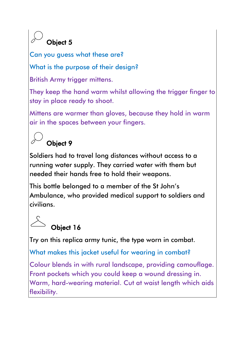## Object 5

Can you guess what these are?

What is the purpose of their design?

British Army trigger mittens.

They keep the hand warm whilst allowing the trigger finger to stay in place ready to shoot.

Mittens are warmer than gloves, because they hold in warm air in the spaces between your fingers.

## Object 9

Soldiers had to travel long distances without access to a running water supply. They carried water with them but needed their hands free to hold their weapons.

This bottle belonged to a member of the St John's Ambulance, who provided medical support to soldiers and civilians.

## Object 16

Try on this replica army tunic, the type worn in combat.

What makes this jacket useful for wearing in combat?

Colour blends in with rural landscape, providing camouflage. Front pockets which you could keep a wound dressing in. Warm, hard-wearing material. Cut at waist length which aids flexibility.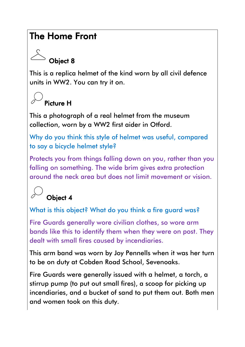#### The Home Front

### Object 8

This is a replica helmet of the kind worn by all civil defence units in WW2. You can try it on.

### Picture H

This a photograph of a real helmet from the museum collection, worn by a WW2 first aider in Otford.

Why do you think this style of helmet was useful, compared to say a bicycle helmet style?

Protects you from things falling down on you, rather than you falling on something. The wide brim gives extra protection around the neck area but does not limit movement or vision.

### Object 4

What is this object? What do you think a fire guard was?

Fire Guards generally wore civilian clothes, so wore arm bands like this to identify them when they were on post. They dealt with small fires caused by incendiaries.

This arm band was worn by Joy Pennells when it was her turn to be on duty at Cobden Road School, Sevenoaks.

Fire Guards were generally issued with a helmet, a torch, a stirrup pump (to put out small fires), a scoop for picking up incendiaries, and a bucket of sand to put them out. Both men and women took on this duty.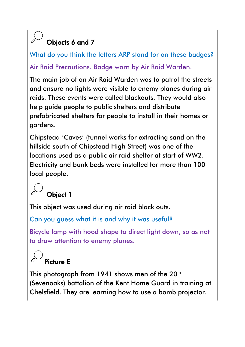### Objects 6 and 7

What do you think the letters ARP stand for on these badges? Air Raid Precautions. Badge worn by Air Raid Warden.

The main job of an Air Raid Warden was to patrol the streets and ensure no lights were visible to enemy planes during air raids. These events were called blackouts. They would also help guide people to public shelters and distribute prefabricated shelters for people to install in their homes or gardens.

Chipstead 'Caves' (tunnel works for extracting sand on the hillside south of Chipstead High Street) was one of the locations used as a public air raid shelter at start of WW2. Electricity and bunk beds were installed for more than 100 local people.

### Object 1

This object was used during air raid black outs.

Can you guess what it is and why it was useful?

Bicycle lamp with hood shape to direct light down, so as not to draw attention to enemy planes.

# Picture E

This photograph from 1941 shows men of the  $20<sup>th</sup>$ (Sevenoaks) battalion of the Kent Home Guard in training at Chelsfield. They are learning how to use a bomb projector.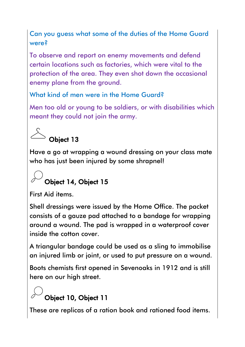Can you guess what some of the duties of the Home Guard were?

To observe and report on enemy movements and defend certain locations such as factories, which were vital to the protection of the area. They even shot down the occasional enemy plane from the ground.

What kind of men were in the Home Guard?

Men too old or young to be soldiers, or with disabilities which meant they could not join the army.

## Object 13

Have a go at wrapping a wound dressing on your class mate who has just been injured by some shrapnel!

## Object 14, Object 15

First Aid items.

Shell dressings were issued by the Home Office. The packet consists of a gauze pad attached to a bandage for wrapping around a wound. The pad is wrapped in a waterproof cover inside the cotton cover.

A triangular bandage could be used as a sling to immobilise an injured limb or joint, or used to put pressure on a wound.

Boots chemists first opened in Sevenoaks in 1912 and is still here on our high street.

### Object 10, Object 11

These are replicas of a ration book and rationed food items.